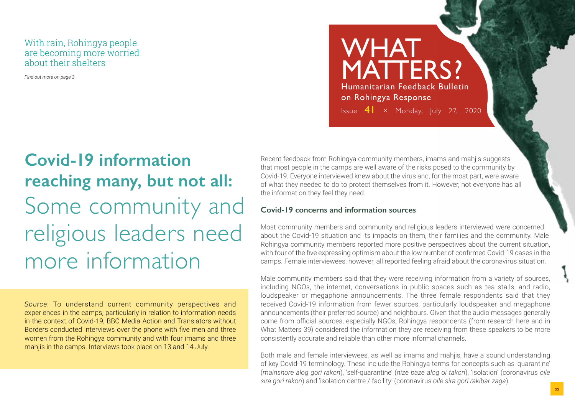#### With rain, Rohingya people are becoming more worried about their shelters

*Find out more on page 3*

### WHAT MATTERS? Humanitarian Feedback Bulletin on Rohingya Response Issue **41** × Monday, July 27, 2020

# **Covid-19 information reaching many, but not all:** Some community and religious leaders need more information

*Source*: To understand current community perspectives and experiences in the camps, particularly in relation to information needs in the context of Covid-19, BBC Media Action and Translators without Borders conducted interviews over the phone with five men and three women from the Rohingya community and with four imams and three mahjis in the camps. Interviews took place on 13 and 14 July.

Recent feedback from Rohingya community members, imams and mahjis suggests that most people in the camps are well aware of the risks posed to the community by Covid-19. Everyone interviewed knew about the virus and, for the most part, were aware of what they needed to do to protect themselves from it. However, not everyone has all the information they feel they need.

#### **Covid-19 concerns and information sources**

Most community members and community and religious leaders interviewed were concerned about the Covid-19 situation and its impacts on them, their families and the community. Male Rohingya community members reported more positive perspectives about the current situation, with four of the five expressing optimism about the low number of confirmed Covid-19 cases in the camps. Female interviewees, however, all reported feeling afraid about the coronavirus situation.

Male community members said that they were receiving information from a variety of sources, including NGOs, the internet, conversations in public spaces such as tea stalls, and radio, loudspeaker or megaphone announcements. The three female respondents said that they received Covid-19 information from fewer sources, particularly loudspeaker and megaphone announcements (their preferred source) and neighbours. Given that the audio messages generally come from official sources, especially NGOs, Rohingya respondents (from research here and in What Matters 39) considered the information they are receiving from these speakers to be more consistently accurate and reliable than other more informal channels.

Both male and female interviewees, as well as imams and mahjis, have a sound understanding of key Covid-19 terminology. These include the Rohingya terms for concepts such as 'quarantine' (*mainshore alog gori rakon*), 'self-quarantine' (*nize baze alog oi takon*), 'isolation' (coronavirus *oile sira gori rakon*) and 'isolation centre / facility' (coronavirus *oile sira gori rakibar zaga*).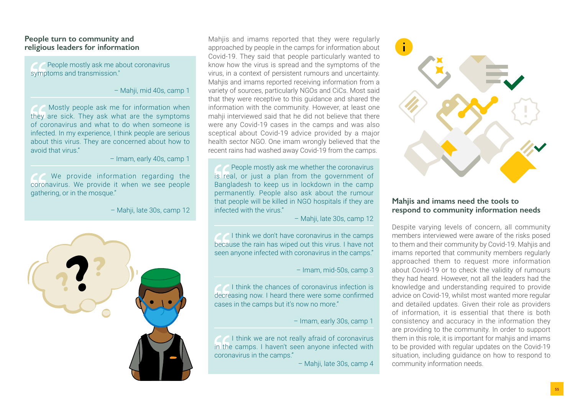#### **People turn to community and religious leaders for information**

 People mostly ask me about coronavirus symptoms and transmission."

– Mahji, mid 40s, camp 1

Mostly people ask me for information when they are sick. They ask what are the symptoms of coronavirus and what to do when someone is infected. In my experience, I think people are serious about this virus. They are concerned about how to avoid that virus."

– Imam, early 40s, camp 1

We provide information regarding the coronavirus. We provide it when we see people gathering, or in the mosque."

– Mahji, late 30s, camp 12



Mahiis and imams reported that they were regularly approached by people in the camps for information about Covid-19. They said that people particularly wanted to know how the virus is spread and the symptoms of the virus, in a context of persistent rumours and uncertainty. Mahjis and imams reported receiving information from a variety of sources, particularly NGOs and CiCs. Most said that they were receptive to this guidance and shared the information with the community. However, at least one mahij interviewed said that he did not believe that there were any Covid-19 cases in the camps and was also sceptical about Covid-19 advice provided by a major health sector NGO. One imam wrongly believed that the recent rains had washed away Covid-19 from the camps.

 People mostly ask me whether the coronavirus is real, or just a plan from the government of Bangladesh to keep us in lockdown in the camp permanently. People also ask about the rumour that people will be killed in NGO hospitals if they are infected with the virus."

– Mahji, late 30s, camp 12

I think we don't have coronavirus in the camps because the rain has wiped out this virus. I have not seen anyone infected with coronavirus in the camps."

– Imam, mid-50s, camp 3

**C** I think the chances of coronavirus infection is decreasing now. I heard there were some confirmed cases in the camps but it's now no more."

– Imam, early 30s, camp 1

**T** I think we are not really afraid of coronavirus in the camps. I haven't seen anyone infected with coronavirus in the camps."

– Mahji, late 30s, camp 4



#### **Mahjis and imams need the tools to respond to community information needs**

Despite varying levels of concern, all community members interviewed were aware of the risks posed to them and their community by Covid-19. Mahjis and imams reported that community members regularly approached them to request more information about Covid-19 or to check the validity of rumours they had heard. However, not all the leaders had the knowledge and understanding required to provide advice on Covid-19, whilst most wanted more regular and detailed updates. Given their role as providers of information, it is essential that there is both consistency and accuracy in the information they are providing to the community. In order to support them in this role, it is important for mahjis and imams to be provided with regular updates on the Covid-19 situation, including guidance on how to respond to community information needs.